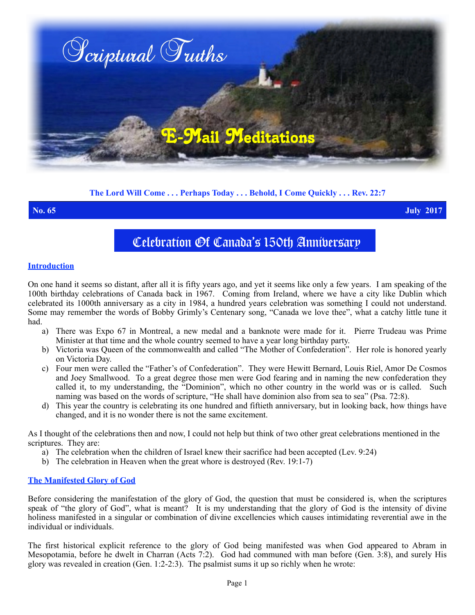

## **The Lord Will Come . . . Perhaps Today . . . Behold, I Come Quickly . . . Rev. 22:7**

**No. 65 July 2017**

# Celebration Of Canada's 150th Anniversary

### **Introduction**

On one hand it seems so distant, after all it is fifty years ago, and yet it seems like only a few years. I am speaking of the 100th birthday celebrations of Canada back in 1967. Coming from Ireland, where we have a city like Dublin which celebrated its 1000th anniversary as a city in 1984, a hundred years celebration was something I could not understand. Some may remember the words of Bobby Grimly's Centenary song, "Canada we love thee", what a catchy little tune it had.

- a) There was Expo 67 in Montreal, a new medal and a banknote were made for it. Pierre Trudeau was Prime Minister at that time and the whole country seemed to have a year long birthday party.
- b) Victoria was Queen of the commonwealth and called "The Mother of Confederation". Her role is honored yearly on Victoria Day.
- c) Four men were called the "Father's of Confederation". They were Hewitt Bernard, Louis Riel, Amor De Cosmos and Joey Smallwood. To a great degree those men were God fearing and in naming the new confederation they called it, to my understanding, the "Dominion", which no other country in the world was or is called. Such naming was based on the words of scripture, "He shall have dominion also from sea to sea" (Psa. 72:8).
- d) This year the country is celebrating its one hundred and fiftieth anniversary, but in looking back, how things have changed, and it is no wonder there is not the same excitement.

As I thought of the celebrations then and now, I could not help but think of two other great celebrations mentioned in the scriptures. They are:

- a) The celebration when the children of Israel knew their sacrifice had been accepted (Lev. 9:24)
- b) The celebration in Heaven when the great whore is destroyed (Rev. 19:1-7)

### **The Manifested Glory of God**

Before considering the manifestation of the glory of God, the question that must be considered is, when the scriptures speak of "the glory of God", what is meant? It is my understanding that the glory of God is the intensity of divine holiness manifested in a singular or combination of divine excellencies which causes intimidating reverential awe in the individual or individuals.

The first historical explicit reference to the glory of God being manifested was when God appeared to Abram in Mesopotamia, before he dwelt in Charran (Acts 7:2). God had communed with man before (Gen. 3:8), and surely His glory was revealed in creation (Gen.  $1:2-2:3$ ). The psalmist sums it up so richly when he wrote: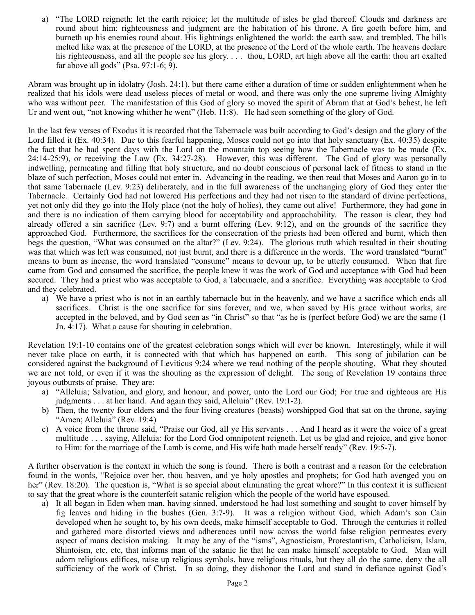a) "The LORD reigneth; let the earth rejoice; let the multitude of isles be glad thereof. Clouds and darkness are round about him: righteousness and judgment are the habitation of his throne. A fire goeth before him, and burneth up his enemies round about. His lightnings enlightened the world: the earth saw, and trembled. The hills melted like wax at the presence of the LORD, at the presence of the Lord of the whole earth. The heavens declare his righteousness, and all the people see his glory. . . . thou, LORD, art high above all the earth: thou art exalted far above all gods" (Psa. 97:1-6; 9).

Abram was brought up in idolatry (Josh. 24:1), but there came either a duration of time or sudden enlightenment when he realized that his idols were dead useless pieces of metal or wood, and there was only the one supreme living Almighty who was without peer. The manifestation of this God of glory so moved the spirit of Abram that at God's behest, he left Ur and went out, "not knowing whither he went" (Heb. 11:8). He had seen something of the glory of God.

In the last few verses of Exodus it is recorded that the Tabernacle was built according to God's design and the glory of the Lord filled it (Ex. 40:34). Due to this fearful happening, Moses could not go into that holy sanctuary (Ex. 40:35) despite the fact that he had spent days with the Lord on the mountain top seeing how the Tabernacle was to be made (Ex. 24:14-25:9), or receiving the Law (Ex. 34:27-28). However, this was different. The God of glory was personally indwelling, permeating and filling that holy structure, and no doubt conscious of personal lack of fitness to stand in the blaze of such perfection, Moses could not enter in. Advancing in the reading, we then read that Moses and Aaron go in to that same Tabernacle (Lev. 9:23) deliberately, and in the full awareness of the unchanging glory of God they enter the Tabernacle. Certainly God had not lowered His perfections and they had not risen to the standard of divine perfections, yet not only did they go into the Holy place (not the holy of holies), they came out alive! Furthermore, they had gone in and there is no indication of them carrying blood for acceptability and approachability. The reason is clear, they had already offered a sin sacrifice (Lev. 9:7) and a burnt offering (Lev. 9:12), and on the grounds of the sacrifice they approached God. Furthermore, the sacrifices for the consecration of the priests had been offered and burnt, which then begs the question, "What was consumed on the altar?" (Lev. 9:24). The glorious truth which resulted in their shouting was that which was left was consumed, not just burnt, and there is a difference in the words. The word translated "burnt" means to burn as incense, the word translated "consume" means to devour up, to be utterly consumed. When that fire came from God and consumed the sacrifice, the people knew it was the work of God and acceptance with God had been secured. They had a priest who was acceptable to God, a Tabernacle, and a sacrifice. Everything was acceptable to God and they celebrated.

a) We have a priest who is not in an earthly tabernacle but in the heavenly, and we have a sacrifice which ends all sacrifices. Christ is the one sacrifice for sins forever, and we, when saved by His grace without works, are accepted in the beloved, and by God seen as "in Christ" so that "as he is (perfect before God) we are the same (1 Jn. 4:17). What a cause for shouting in celebration.

Revelation 19:1-10 contains one of the greatest celebration songs which will ever be known. Interestingly, while it will never take place on earth, it is connected with that which has happened on earth. This song of jubilation can be considered against the background of Leviticus 9:24 where we read nothing of the people shouting. What they shouted we are not told, or even if it was the shouting as the expression of delight. The song of Revelation 19 contains three joyous outbursts of praise. They are:

- a) "Alleluia; Salvation, and glory, and honour, and power, unto the Lord our God; For true and righteous are His judgments . . . at her hand. And again they said, Alleluia" (Rev. 19:1-2).
- b) Then, the twenty four elders and the four living creatures (beasts) worshipped God that sat on the throne, saying "Amen; Alleluia" (Rev. 19:4)
- c) A voice from the throne said, "Praise our God, all ye His servants . . . And I heard as it were the voice of a great multitude . . . saying, Alleluia: for the Lord God omnipotent reigneth. Let us be glad and rejoice, and give honor to Him: for the marriage of the Lamb is come, and His wife hath made herself ready" (Rev. 19:5-7).

A further observation is the context in which the song is found. There is both a contrast and a reason for the celebration found in the words, "Rejoice over her, thou heaven, and ye holy apostles and prophets; for God hath avenged you on her" (Rev. 18:20). The question is, "What is so special about eliminating the great whore?" In this context it is sufficient to say that the great whore is the counterfeit satanic religion which the people of the world have espoused.

a) It all began in Eden when man, having sinned, understood he had lost something and sought to cover himself by fig leaves and hiding in the bushes (Gen. 3:7-9). It was a religion without God, which Adam's son Cain developed when he sought to, by his own deeds, make himself acceptable to God. Through the centuries it rolled and gathered more distorted views and adherences until now across the world false religion permeates every aspect of mans decision making. It may be any of the "isms", Agnosticism, Protestantism, Catholicism, Islam, Shintoism, etc. etc, that informs man of the satanic lie that he can make himself acceptable to God. Man will adorn religious edifices, raise up religious symbols, have religious rituals, but they all do the same, deny the all sufficiency of the work of Christ. In so doing, they dishonor the Lord and stand in defiance against God's